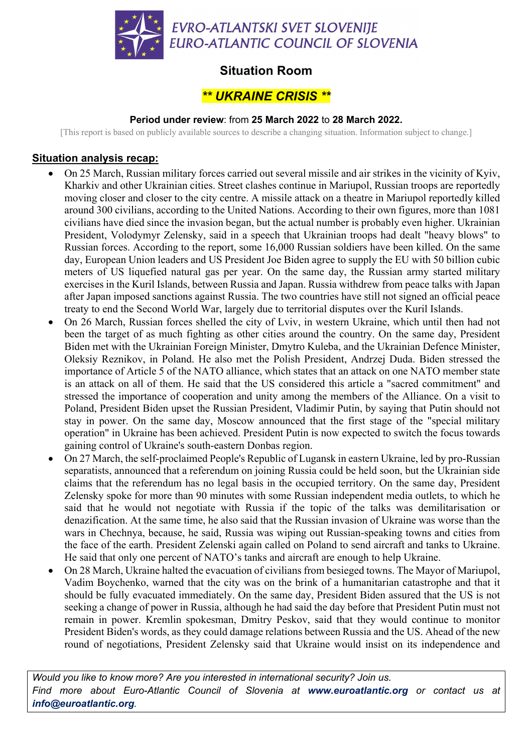

## **Situation Room**

# *\*\* UKRAINE CRISIS \*\**

#### **Period under review**: from **25 March 2022** to **28 March 2022.**

[This report is based on publicly available sources to describe a changing situation. Information subject to change.]

### **Situation analysis recap:**

- On 25 March, Russian military forces carried out several missile and air strikes in the vicinity of Kyiv, Kharkiv and other Ukrainian cities. Street clashes continue in Mariupol, Russian troops are reportedly moving closer and closer to the city centre. A missile attack on a theatre in Mariupol reportedly killed around 300 civilians, according to the United Nations. According to their own figures, more than 1081 civilians have died since the invasion began, but the actual number is probably even higher. Ukrainian President, Volodymyr Zelensky, said in a speech that Ukrainian troops had dealt "heavy blows" to Russian forces. According to the report, some 16,000 Russian soldiers have been killed. On the same day, European Union leaders and US President Joe Biden agree to supply the EU with 50 billion cubic meters of US liquefied natural gas per year. On the same day, the Russian army started military exercises in the Kuril Islands, between Russia and Japan. Russia withdrew from peace talks with Japan after Japan imposed sanctions against Russia. The two countries have still not signed an official peace treaty to end the Second World War, largely due to territorial disputes over the Kuril Islands.
- On 26 March, Russian forces shelled the city of Lviv, in western Ukraine, which until then had not been the target of as much fighting as other cities around the country. On the same day, President Biden met with the Ukrainian Foreign Minister, Dmytro Kuleba, and the Ukrainian Defence Minister, Oleksiy Reznikov, in Poland. He also met the Polish President, Andrzej Duda. Biden stressed the importance of Article 5 of the NATO alliance, which states that an attack on one NATO member state is an attack on all of them. He said that the US considered this article a "sacred commitment" and stressed the importance of cooperation and unity among the members of the Alliance. On a visit to Poland, President Biden upset the Russian President, Vladimir Putin, by saying that Putin should not stay in power. On the same day, Moscow announced that the first stage of the "special military operation" in Ukraine has been achieved. President Putin is now expected to switch the focus towards gaining control of Ukraine's south-eastern Donbas region.
- On 27 March, the self-proclaimed People's Republic of Lugansk in eastern Ukraine, led by pro-Russian separatists, announced that a referendum on joining Russia could be held soon, but the Ukrainian side claims that the referendum has no legal basis in the occupied territory. On the same day, President Zelensky spoke for more than 90 minutes with some Russian independent media outlets, to which he said that he would not negotiate with Russia if the topic of the talks was demilitarisation or denazification. At the same time, he also said that the Russian invasion of Ukraine was worse than the wars in Chechnya, because, he said, Russia was wiping out Russian-speaking towns and cities from the face of the earth. President Zelenski again called on Poland to send aircraft and tanks to Ukraine. He said that only one percent of NATO's tanks and aircraft are enough to help Ukraine.
- On 28 March, Ukraine halted the evacuation of civilians from besieged towns. The Mayor of Mariupol, Vadim Boychenko, warned that the city was on the brink of a humanitarian catastrophe and that it should be fully evacuated immediately. On the same day, President Biden assured that the US is not seeking a change of power in Russia, although he had said the day before that President Putin must not remain in power. Kremlin spokesman, Dmitry Peskov, said that they would continue to monitor President Biden's words, as they could damage relations between Russia and the US. Ahead of the new round of negotiations, President Zelensky said that Ukraine would insist on its independence and

*Would you like to know more? Are you interested in international security? Join us. Find more about Euro-Atlantic Council of Slovenia at www.euroatlantic.org or contact us at info@euroatlantic.org.*